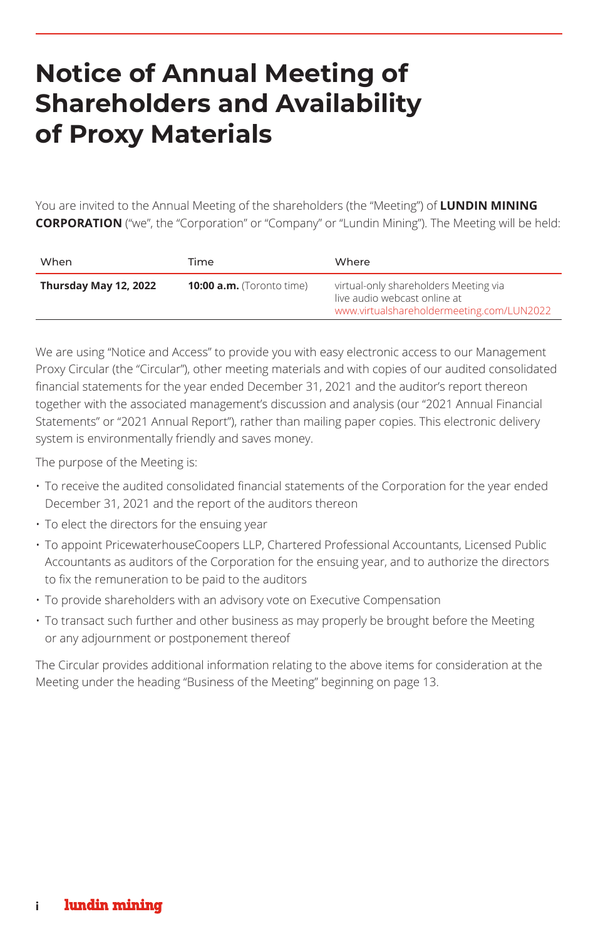# **Notice of Annual Meeting of Shareholders and Availability of Proxy Materials**

You are invited to the Annual Meeting of the shareholders (the "Meeting") of **LUNDIN MINING CORPORATION** ("we", the "Corporation" or "Company" or "Lundin Mining"). The Meeting will be held:

| When                  | Time                        | Where                                                                                                              |
|-----------------------|-----------------------------|--------------------------------------------------------------------------------------------------------------------|
| Thursday May 12, 2022 | $10:00$ a.m. (Toronto time) | virtual-only shareholders Meeting via<br>live audio webcast online at<br>www.virtualshareholdermeeting.com/LUN2022 |

We are using "Notice and Access" to provide you with easy electronic access to our Management Proxy Circular (the "Circular"), other meeting materials and with copies of our audited consolidated financial statements for the year ended December 31, 2021 and the auditor's report thereon together with the associated management's discussion and analysis (our "2021 Annual Financial Statements" or "2021 Annual Report"), rather than mailing paper copies. This electronic delivery system is environmentally friendly and saves money.

The purpose of the Meeting is:

- To receive the audited consolidated financial statements of the Corporation for the year ended December 31, 2021 and the report of the auditors thereon
- To elect the directors for the ensuing year
- To appoint PricewaterhouseCoopers LLP, Chartered Professional Accountants, Licensed Public Accountants as auditors of the Corporation for the ensuing year, and to authorize the directors to fix the remuneration to be paid to the auditors
- To provide shareholders with an advisory vote on Executive Compensation
- To transact such further and other business as may properly be brought before the Meeting or any adjournment or postponement thereof

The Circular provides additional information relating to the above items for consideration at the Meeting under the heading "Business of the Meeting" beginning on page 13.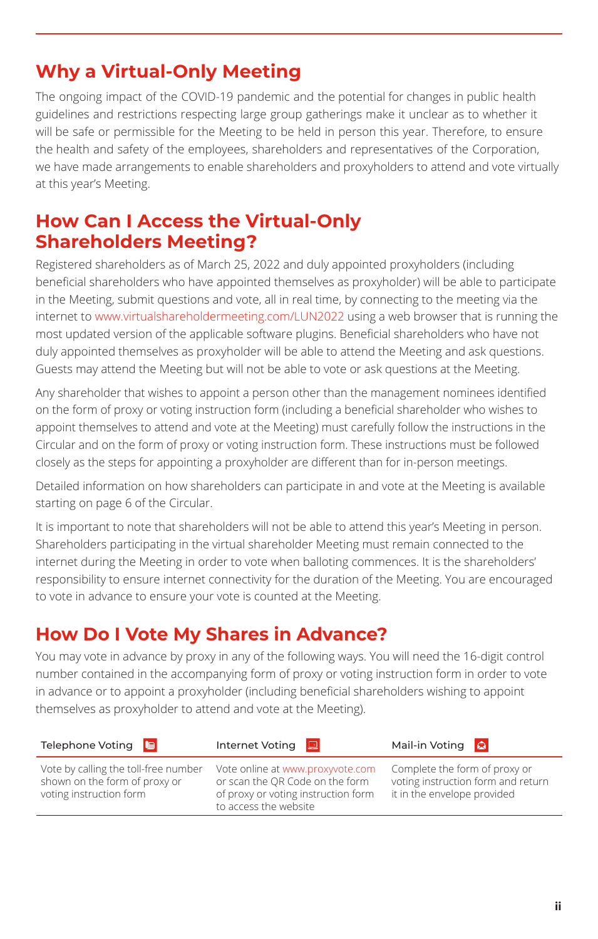## **Why a Virtual-Only Meeting**

The ongoing impact of the COVID-19 pandemic and the potential for changes in public health guidelines and restrictions respecting large group gatherings make it unclear as to whether it will be safe or permissible for the Meeting to be held in person this year. Therefore, to ensure the health and safety of the employees, shareholders and representatives of the Corporation, we have made arrangements to enable shareholders and proxyholders to attend and vote virtually at this year's Meeting.

#### **How Can I Access the Virtual-Only Shareholders Meeting?**

Registered shareholders as of March 25, 2022 and duly appointed proxyholders (including beneficial shareholders who have appointed themselves as proxyholder) will be able to participate in the Meeting, submit questions and vote, all in real time, by connecting to the meeting via the internet to [www.virtualshareholdermeeting.com/LUN2022](http://www.virtualshareholdermeeting.com/LUN2022) using a web browser that is running the most updated version of the applicable software plugins. Beneficial shareholders who have not duly appointed themselves as proxyholder will be able to attend the Meeting and ask questions. Guests may attend the Meeting but will not be able to vote or ask questions at the Meeting.

Any shareholder that wishes to appoint a person other than the management nominees identified on the form of proxy or voting instruction form (including a beneficial shareholder who wishes to appoint themselves to attend and vote at the Meeting) must carefully follow the instructions in the Circular and on the form of proxy or voting instruction form. These instructions must be followed closely as the steps for appointing a proxyholder are different than for in-person meetings.

Detailed information on how shareholders can participate in and vote at the Meeting is available starting on page 6 of the Circular.

It is important to note that shareholders will not be able to attend this year's Meeting in person. Shareholders participating in the virtual shareholder Meeting must remain connected to the internet during the Meeting in order to vote when balloting commences. It is the shareholders' responsibility to ensure internet connectivity for the duration of the Meeting. You are encouraged to vote in advance to ensure your vote is counted at the Meeting.

#### **How Do I Vote My Shares in Advance?**

You may vote in advance by proxy in any of the following ways. You will need the 16-digit control number contained in the accompanying form of proxy or voting instruction form in order to vote in advance or to appoint a proxyholder (including beneficial shareholders wishing to appoint themselves as proxyholder to attend and vote at the Meeting).

| Telephone Voting                                                                                 | Internet Voting                                                                                                                     | Mail-in Voting                                                                                     |
|--------------------------------------------------------------------------------------------------|-------------------------------------------------------------------------------------------------------------------------------------|----------------------------------------------------------------------------------------------------|
| Vote by calling the toll-free number<br>shown on the form of proxy or<br>voting instruction form | Vote online at www.proxyvote.com<br>or scan the OR Code on the form<br>of proxy or voting instruction form<br>to access the website | Complete the form of proxy or<br>voting instruction form and return<br>it in the envelope provided |